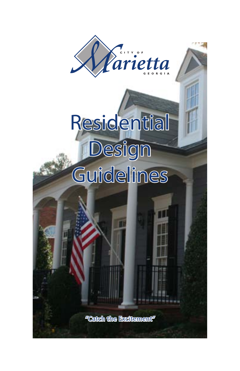

# **Residential Design**

# **Guidelines**

"Catch the Excitement"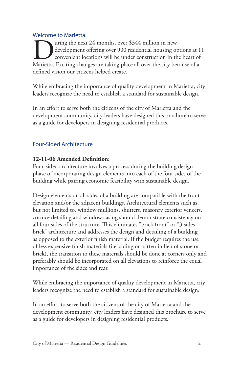# Welcome to Marietta!

US uring the next 24 months, over \$344 million in new<br>development offering over 900 residential housing options at 1<br>Marietta. Exciting changes are taking place all over the city because of a development offering over 900 residential housing options at 11 convenient locations will be under construction in the heart of defined vision our citizens helped create.

While embracing the importance of quality development in Marietta, city leaders recognize the need to establish a standard for sustainable design.

In an effort to serve both the citizens of the city of Marietta and the development community, city leaders have designed this brochure to serve as a guide for developers in designing residential products.

# Four-Sided Architecture

## **12-11-06 Amended Definition:**

Four-sided architecture involves a process during the building design phase of incorporating design elements into each of the four sides of the building while pairing economic feasibility with sustainable design.

Design elements on all sides of a building are compatible with the front elevation and/or the adjacent buildings. Architectural elements such as, but not limited to, window mullions, shutters, masonry exterior veneers, cornice detailing and window casing should demonstrate consistency on all four sides of the structure. This eliminates "brick front" or "3 sides brick" architecture and addresses the design and detailing of a building as opposed to the exterior finish material. If the budget requires the use of less expensive finish materials (i.e. siding or batten in lieu of stone or brick), the transition to these materials should be done at corners only and preferably should be incorporated on all elevations to reinforce the equal importance of the sides and rear.

While embracing the importance of quality development in Marietta, city leaders recognize the need to establish a standard for sustainable design.

In an effort to serve both the citizens of the city of Marietta and the development community, city leaders have designed this brochure to serve as a guide for developers in designing residential products.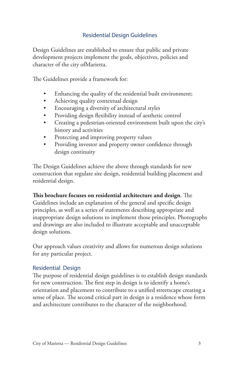# Residential Design Guidelines

Design Guidelines are established to ensure that public and private development projects implement the goals, objectives, policies and character of the city ofMarietta.

The Guidelines provide a framework for:

- Enhancing the quality of the residential built environment;
- Achieving quality contextual design
- Encouraging a diversity of architectural styles
- Providing design flexibility instead of aesthetic control
- Creating a pedestrian-oriented environment built upon the city's history and activities
- Protecting and improving property values
- Providing investor and property owner confidence through design continuity

The Design Guidelines achieve the above through standards for new construction that regulate site design, residential building placement and residential design.

**This brochure focuses on residential architecture and design**. The Guidelines include an explanation of the general and specific design principles, as well as a series of statements describing appropriate and inappropriate design solutions to implement those principles. Photographs and drawings are also included to illustrate acceptable and unacceptable design solutions.

Our approach values creativity and allows for numerous design solutions for any particular project.

# Residential Design

The purpose of residential design guidelines is to establish design standards for new construction. The first step in design is to identify a home's orientation and placement to contribute to a unified streetscape creating a sense of place. The second critical part in design is a residence whose form and architecture contributes to the character of the neighborhood.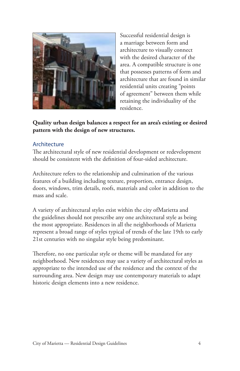

Successful residential design is a marriage between form and architecture to visually connect with the desired character of the area. A compatible structure is one that possesses patterns of form and architecture that are found in similar residential units creating "points of agreement" between them while retaining the individuality of the residence.

**Quality urban design balances a respect for an area's existing or desired pattern with the design of new structures.**

#### Architecture

The architectural style of new residential development or redevelopment should be consistent with the definition of four-sided architecture.

Architecture refers to the relationship and culmination of the various features of a building including texture, proportion, entrance design, doors, windows, trim details, roofs, materials and color in addition to the mass and scale.

A variety of architectural styles exist within the city ofMarietta and the guidelines should not prescribe any one architectural style as being the most appropriate. Residences in all the neighborhoods of Marietta represent a broad range of styles typical of trends of the late 19th to early 21st centuries with no singular style being predominant.

Therefore, no one particular style or theme will be mandated for any neighborhood. New residences may use a variety of architectural styles as appropriate to the intended use of the residence and the context of the surrounding area. New design may use contemporary materials to adapt historic design elements into a new residence.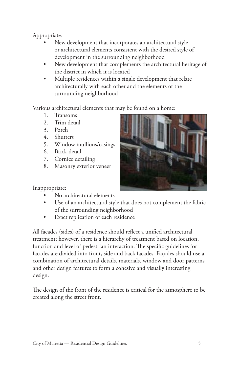Appropriate:

- New development that incorporates an architectural style or architectural elements consistent with the desired style of development in the surrounding neighborhood
- New development that complements the architectural heritage of the district in which it is located
- Multiple residences within a single development that relate architecturally with each other and the elements of the surrounding neighborhood

Various architectural elements that may be found on a home:

- 1. Transoms
- 2. Trim detail
- 3. Porch
- 4. Shutters
- 5. Window mullions/casings
- 6. Brick detail
- 7. Cornice detailing
- 8. Masonry exterior veneer



Inappropriate:

- No architectural elements
- Use of an architectural style that does not complement the fabric of the surrounding neighborhood
- Exact replication of each residence •

All facades (sides) of a residence should reflect a unified architectural treatment; however, there is a hierarchy of treatment based on location, function and level of pedestrian interaction. The specific guidelines for facades are divided into front, side and back facades. Façades should use a combination of architectural details, materials, window and door patterns and other design features to form a cohesive and visually interesting design.

The design of the front of the residence is critical for the atmosphere to be created along the street front.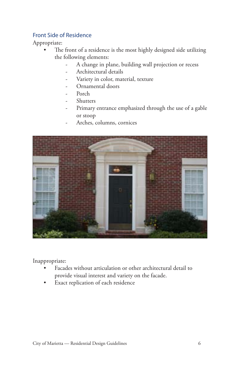# Front Side of Residence

Appropriate:

- The front of a residence is the most highly designed side utilizing the following elements:
	- A change in plane, building wall projection or recess
	- Architectural details
	- Variety in color, material, texture
	- Ornamental doors
	- Porch
	- **Shutters**
	- Primary entrance emphasized through the use of a gable or stoop
		- Arches, columns, cornices



Inappropriate:

- Facades without articulation or other architectural detail to provide visual interest and variety on the facade.
- Exact replication of each residence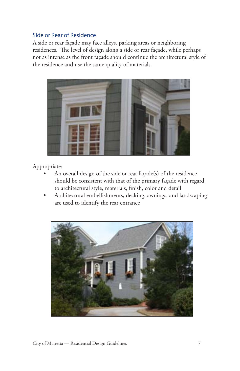#### Side or Rear of Residence

A side or rear façade may face alleys, parking areas or neighboring residences. The level of design along a side or rear façade, while perhaps not as intense as the front façade should continue the architectural style of the residence and use the same quality of materials.



- An overall design of the side or rear façade(s) of the residence should be consistent with that of the primary façade with regard to architectural style, materials, finish, color and detail
- Architectural embellishments, decking, awnings, and landscaping are used to identify the rear entrance

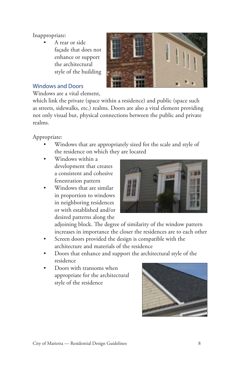A rear or side façade that does not enhance or support the architectural style of the building



#### Windows and Doors

Windows are a vital element,

which link the private (space within a residence) and public (space such as streets, sidewalks, etc.) realms. Doors are also a vital element providing not only visual but, physical connections between the public and private realms.

Appropriate:

- Windows that are appropriately sized for the scale and style of the residence on which they are located
- Windows within a development that creates a consistent and cohesive fenestration pattern
- Windows that are similar in proportion to windows in neighboring residences or with established and/or desired patterns along the



adjoining block. The degree of similarity of the window pattern increases in importance the closer the residences are to each other

- Screen doors provided the design is compatible with the architecture and materials of the residence
- Doors that enhance and support the architectural style of the residence
- Doors with transoms when appropriate for the architectural style of the residence

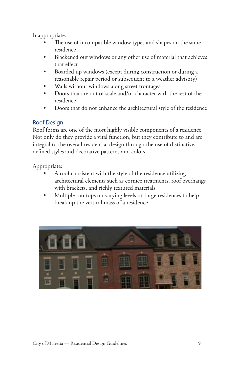- The use of incompatible window types and shapes on the same residence
- Blackened out windows or any other use of material that achieves that effect
- Boarded up windows (except during construction or during a reasonable repair period or subsequent to a weather advisory)
- Walls without windows along street frontages
- Doors that are out of scale and/or character with the rest of the residence
- Doors that do not enhance the architectural style of the residence

# Roof Design

Roof forms are one of the most highly visible components of a residence. Not only do they provide a vital function, but they contribute to and are integral to the overall residential design through the use of distinctive, defined styles and decorative patterns and colors.

- A roof consistent with the style of the residence utilizing architectural elements such as cornice treatments, roof overhangs with brackets, and richly textured materials
- Multiple rooftops on varying levels on large residences to help break up the vertical mass of a residence

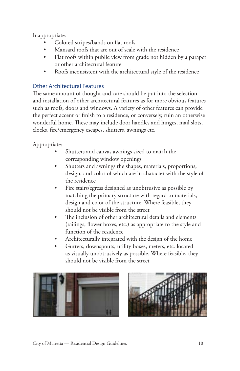- Colored stripes/bands on flat roofs
- Mansard roofs that are out of scale with the residence
- Flat roofs within public view from grade not hidden by a parapet or other architectural feature
- Roofs inconsistent with the architectural style of the residence

# Other Architectural Features

The same amount of thought and care should be put into the selection and installation of other architectural features as for more obvious features such as roofs, doors and windows. A variety of other features can provide the perfect accent or finish to a residence, or conversely, ruin an otherwise wonderful home. These may include door handles and hinges, mail slots, clocks, fire/emergency escapes, shutters, awnings etc.

- Shutters and canvas awnings sized to match the corresponding window openings
- Shutters and awnings the shapes, materials, proportions, design, and color of which are in character with the style of the residence
- Fire stairs/egress designed as unobtrusive as possible by matching the primary structure with regard to materials, design and color of the structure. Where feasible, they should not be visible from the street
- The inclusion of other architectural details and elements (railings, flower boxes, etc.) as appropriate to the style and function of the residence
- Architecturally integrated with the design of the home
- Gutters, downspouts, utility boxes, meters, etc. located as visually unobtrusively as possible. Where feasible, they should not be visible from the street



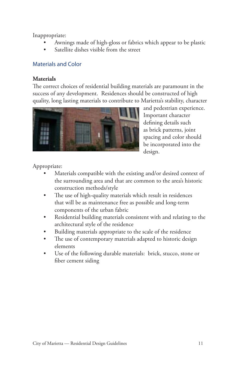- Awnings made of high-gloss or fabrics which appear to be plastic
- Satellite dishes visible from the street

## Materials and Color

#### **Materials**

The correct choices of residential building materials are paramount in the success of any development. Residences should be constructed of high quality, long lasting materials to contribute to Marietta's stability, character



and pedestrian experience. Important character defining details such as brick patterns, joint spacing and color should be incorporated into the design.

- Materials compatible with the existing and/or desired context of the surrounding area and that are common to the area's historic construction methods/style
- The use of high-quality materials which result in residences that will be as maintenance free as possible and long-term components of the urban fabric
- Residential building materials consistent with and relating to the architectural style of the residence
- Building materials appropriate to the scale of the residence
- The use of contemporary materials adapted to historic design elements
- Use of the following durable materials: brick, stucco, stone or fiber cement siding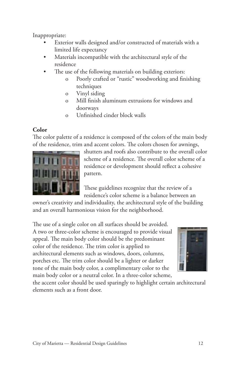- Exterior walls designed and/or constructed of materials with a limited life expectancy
- Materials incompatible with the architectural style of the residence
- The use of the following materials on building exteriors:
	- o Poorly crafted or "rustic" woodworking and finishing techniques
	- o Vinyl siding
	- o Mill finish aluminum extrusions for windows and doorways
	- o Unfinished cinder block walls

# **Color**

The color palette of a residence is composed of the colors of the main body of the residence, trim and accent colors. The colors chosen for awnings,



shutters and roofs also contribute to the overall color scheme of a residence. The overall color scheme of a residence or development should reflect a cohesive pattern.

These guidelines recognize that the review of a residence's color scheme is a balance between an

owner's creativity and individuality, the architectural style of the building and an overall harmonious vision for the neighborhood.

The use of a single color on all surfaces should be avoided. A two or three-color scheme is encouraged to provide visual appeal. The main body color should be the predominant color of the residence. The trim color is applied to architectural elements such as windows, doors, columns, porches etc. The trim color should be a lighter or darker tone of the main body color, a complimentary color to the main body color or a neutral color. In a three-color scheme,



the accent color should be used sparingly to highlight certain architectural elements such as a front door.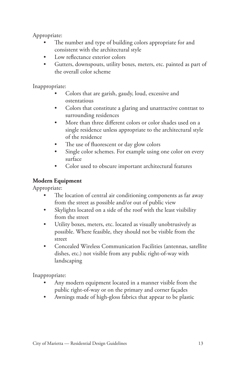Appropriate:

- The number and type of building colors appropriate for and consistent with the architectural style
- Low reflectance exterior colors
- Gutters, downspouts, utility boxes, meters, etc. painted as part of the overall color scheme

Inappropriate:

- Colors that are garish, gaudy, loud, excessive and ostentatious
- Colors that constitute a glaring and unattractive contrast to surrounding residences
- More than three different colors or color shades used on a single residence unless appropriate to the architectural style of the residence
- The use of fluorescent or day glow colors
- Single color schemes. For example using one color on every surface
- Color used to obscure important architectural features

# **Modern Equipment**

Appropriate:

- The location of central air conditioning components as far away from the street as possible and/or out of public view
- Skylights located on a side of the roof with the least visibility from the street
- Utility boxes, meters, etc. located as visually unobtrusively as possible. Where feasible, they should not be visible from the street
- Concealed Wireless Communication Facilities (antennas, satellite dishes, etc.) not visible from any public right-of-way with landscaping

Inappropriate:

- Any modern equipment located in a manner visible from the public right-of-way or on the primary and corner façades
- Awnings made of high-gloss fabrics that appear to be plastic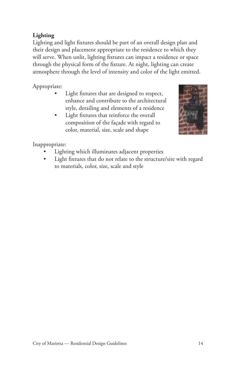# **Lighting**

Lighting and light fixtures should be part of an overall design plan and their design and placement appropriate to the residence to which they will serve. When unlit, lighting fixtures can impact a residence or space through the physical form of the fixture. At night, lighting can create atmosphere through the level of intensity and color of the light emitted.

# Appropriate:

- Light fixtures that are designed to respect, enhance and contribute to the architectural style, detailing and elements of a residence
- Light fixtures that reinforce the overall composition of the façade with regard to color, material, size, scale and shape



Inappropriate:

- Lighting which illuminates adjacent properties
- Light fixtures that do not relate to the structure/site with regard to materials, color, size, scale and style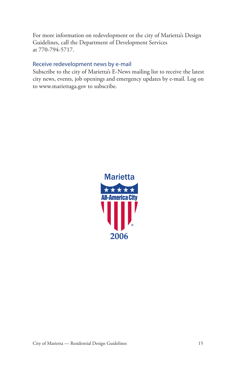For more information on redevelopment or the city of Marietta's Design Guidelines, call the Department of Development Services at 770-794-5717.

#### Receive redevelopment news by e-mail

Subscribe to the city of Marietta's E-News mailing list to receive the latest city news, events, job openings and emergency updates by e-mail. Log on to www.mariettaga.gov to subscribe.